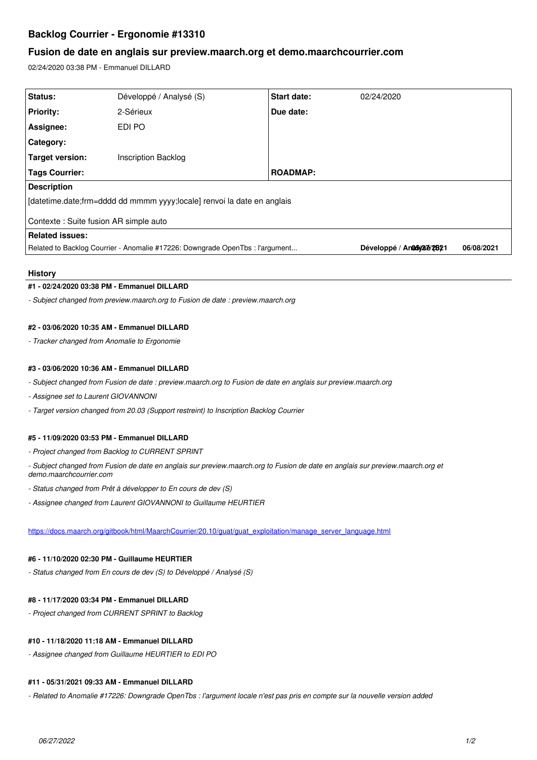# **Backlog Courrier - Ergonomie #13310**

## **Fusion de date en anglais sur preview.maarch.org et demo.maarchcourrier.com**

02/24/2020 03:38 PM - Emmanuel DILLARD

| Status:                                                                       | Développé / Analysé (S)    | Start date:     | 02/24/2020                   |            |
|-------------------------------------------------------------------------------|----------------------------|-----------------|------------------------------|------------|
| <b>Priority:</b>                                                              | 2-Sérieux                  | Due date:       |                              |            |
| <b>Assignee:</b>                                                              | EDI PO                     |                 |                              |            |
| Category:                                                                     |                            |                 |                              |            |
| Target version:                                                               | <b>Inscription Backlog</b> |                 |                              |            |
| <b>Tags Courrier:</b>                                                         |                            | <b>ROADMAP:</b> |                              |            |
| <b>Description</b>                                                            |                            |                 |                              |            |
| [datetime.date;frm=dddd dd mmmm yyyy;locale] renvoi la date en anglais        |                            |                 |                              |            |
| Contexte : Suite fusion AR simple auto                                        |                            |                 |                              |            |
| <b>Related issues:</b>                                                        |                            |                 |                              |            |
| Related to Backlog Courrier - Anomalie #17226: Downgrade OpenTbs : l'argument |                            |                 | Développé / An 265/262428921 | 06/08/2021 |

## **History**

### **#1 - 02/24/2020 03:38 PM - Emmanuel DILLARD**

*- Subject changed from preview.maarch.org to Fusion de date : preview.maarch.org*

### **#2 - 03/06/2020 10:35 AM - Emmanuel DILLARD**

*- Tracker changed from Anomalie to Ergonomie*

### **#3 - 03/06/2020 10:36 AM - Emmanuel DILLARD**

- *Subject changed from Fusion de date : preview.maarch.org to Fusion de date en anglais sur preview.maarch.org*
- *Assignee set to Laurent GIOVANNONI*
- *Target version changed from 20.03 (Support restreint) to Inscription Backlog Courrier*

### **#5 - 11/09/2020 03:53 PM - Emmanuel DILLARD**

- *Project changed from Backlog to CURRENT SPRINT*
- *Subject changed from Fusion de date en anglais sur preview.maarch.org to Fusion de date en anglais sur preview.maarch.org et demo.maarchcourrier.com*
- *Status changed from Prêt à développer to En cours de dev (S)*
- *Assignee changed from Laurent GIOVANNONI to Guillaume HEURTIER*

[https://docs.maarch.org/gitbook/html/MaarchCourrier/20.10/guat/guat\\_exploitation/manage\\_server\\_language.html](https://docs.maarch.org/gitbook/html/MaarchCourrier/20.10/guat/guat_exploitation/manage_server_language.html)

## **#6 - 11/10/2020 02:30 PM - Guillaume HEURTIER**

*- Status changed from En cours de dev (S) to Développé / Analysé (S)*

## **#8 - 11/17/2020 03:34 PM - Emmanuel DILLARD**

*- Project changed from CURRENT SPRINT to Backlog*

### **#10 - 11/18/2020 11:18 AM - Emmanuel DILLARD**

*- Assignee changed from Guillaume HEURTIER to EDI PO*

#### **#11 - 05/31/2021 09:33 AM - Emmanuel DILLARD**

*- Related to Anomalie #17226: Downgrade OpenTbs : l'argument locale n'est pas pris en compte sur la nouvelle version added*